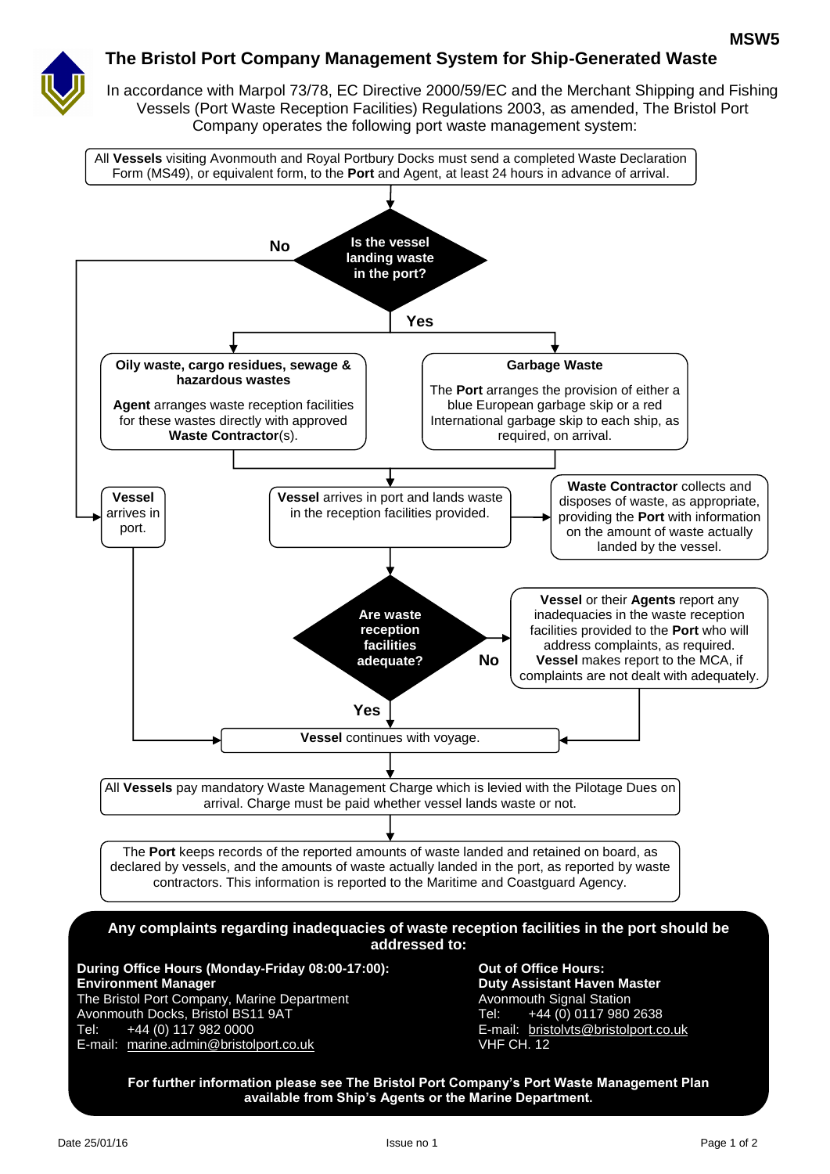

## **The Bristol Port Company Management System for Ship-Generated Waste**

In accordance with Marpol 73/78, EC Directive 2000/59/EC and the Merchant Shipping and Fishing Vessels (Port Waste Reception Facilities) Regulations 2003, as amended, The Bristol Port Company operates the following port waste management system:

All **Vessels** visiting Avonmouth and Royal Portbury Docks must send a completed Waste Declaration Form (MS49), or equivalent form, to the **Port** and Agent, at least 24 hours in advance of arrival.